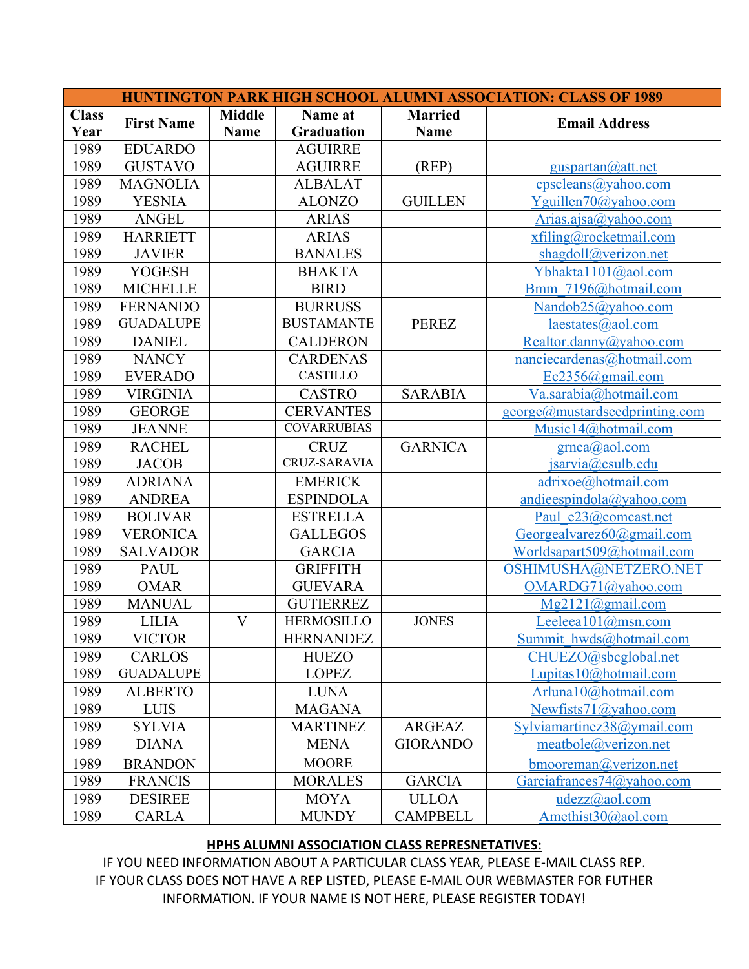| <b>HUNTINGTON PARK HIGH SCHOOL ALUMNI ASSOCIATION: CLASS OF 1989</b> |                   |                           |                     |                 |                                |  |  |  |
|----------------------------------------------------------------------|-------------------|---------------------------|---------------------|-----------------|--------------------------------|--|--|--|
| <b>Class</b>                                                         | <b>First Name</b> | <b>Middle</b><br>Name at  |                     | <b>Married</b>  |                                |  |  |  |
| Year                                                                 |                   | <b>Name</b>               | <b>Graduation</b>   | <b>Name</b>     | <b>Email Address</b>           |  |  |  |
| 1989                                                                 | <b>EDUARDO</b>    |                           | <b>AGUIRRE</b>      |                 |                                |  |  |  |
| 1989                                                                 | <b>GUSTAVO</b>    |                           | <b>AGUIRRE</b>      | (REP)           | $g$ uspartan $@$ att.net       |  |  |  |
| 1989                                                                 | <b>MAGNOLIA</b>   |                           | <b>ALBALAT</b>      |                 | cpscleans@yahoo.com            |  |  |  |
| 1989                                                                 | <b>YESNIA</b>     |                           | <b>ALONZO</b>       | <b>GUILLEN</b>  | Yguillen70@yahoo.com           |  |  |  |
| 1989                                                                 | <b>ANGEL</b>      |                           | <b>ARIAS</b>        |                 | Arias.ajsa@yahoo.com           |  |  |  |
| 1989                                                                 | <b>HARRIETT</b>   |                           | <b>ARIAS</b>        |                 | $x$ filing@rocketmail.com      |  |  |  |
| 1989                                                                 | <b>JAVIER</b>     |                           | <b>BANALES</b>      |                 | shagdoll@verizon.net           |  |  |  |
| 1989                                                                 | <b>YOGESH</b>     |                           | <b>BHAKTA</b>       |                 | Ybhakta1101@aol.com            |  |  |  |
| 1989                                                                 | <b>MICHELLE</b>   |                           | <b>BIRD</b>         |                 | Bmm 7196@hotmail.com           |  |  |  |
| 1989                                                                 | <b>FERNANDO</b>   |                           | <b>BURRUSS</b>      |                 | Nandob25@yahoo.com             |  |  |  |
| 1989                                                                 | <b>GUADALUPE</b>  |                           | <b>BUSTAMANTE</b>   | <b>PEREZ</b>    | $læstates$ ( <i>a</i> )aol.com |  |  |  |
| 1989                                                                 | <b>DANIEL</b>     |                           | <b>CALDERON</b>     |                 | Realtor.danny@yahoo.com        |  |  |  |
| 1989                                                                 | <b>NANCY</b>      |                           | <b>CARDENAS</b>     |                 | nanciecardenas@hotmail.com     |  |  |  |
| 1989                                                                 | <b>EVERADO</b>    |                           | <b>CASTILLO</b>     |                 | Ec2356@gmail.com               |  |  |  |
| 1989                                                                 | <b>VIRGINIA</b>   |                           | <b>CASTRO</b>       | <b>SARABIA</b>  | Va.sarabia@hotmail.com         |  |  |  |
| 1989                                                                 | <b>GEORGE</b>     |                           | <b>CERVANTES</b>    |                 | george@mustardseedprinting.com |  |  |  |
| 1989                                                                 | <b>JEANNE</b>     |                           | <b>COVARRUBIAS</b>  |                 | Music14@hotmail.com            |  |  |  |
| 1989                                                                 | <b>RACHEL</b>     |                           | <b>CRUZ</b>         | <b>GARNICA</b>  | grnca@aol.com                  |  |  |  |
| 1989                                                                 | <b>JACOB</b>      |                           | <b>CRUZ-SARAVIA</b> |                 | jsarvia@csulb.edu              |  |  |  |
| 1989                                                                 | <b>ADRIANA</b>    |                           | <b>EMERICK</b>      |                 | adrixoe@hotmail.com            |  |  |  |
| 1989                                                                 | <b>ANDREA</b>     |                           | <b>ESPINDOLA</b>    |                 | andieespindola@yahoo.com       |  |  |  |
| 1989                                                                 | <b>BOLIVAR</b>    |                           | <b>ESTRELLA</b>     |                 | Paul e23@comcast.net           |  |  |  |
| 1989                                                                 | <b>VERONICA</b>   |                           | <b>GALLEGOS</b>     |                 | Georgealvarez $60$ @gmail.com  |  |  |  |
| 1989                                                                 | <b>SALVADOR</b>   |                           | <b>GARCIA</b>       |                 | Worldsapart509@hotmail.com     |  |  |  |
| 1989                                                                 | <b>PAUL</b>       |                           | <b>GRIFFITH</b>     |                 | OSHIMUSHA@NETZERO.NET          |  |  |  |
| 1989                                                                 | <b>OMAR</b>       |                           | <b>GUEVARA</b>      |                 | OMARDG71@yahoo.com             |  |  |  |
| 1989                                                                 | <b>MANUAL</b>     |                           | <b>GUTIERREZ</b>    |                 | Mg2121@gmail.com               |  |  |  |
| 1989                                                                 | <b>LILIA</b>      | $\boldsymbol{\mathrm{V}}$ | <b>HERMOSILLO</b>   | <b>JONES</b>    | Leeleea101@msn.com             |  |  |  |
| 1989                                                                 | <b>VICTOR</b>     |                           | <b>HERNANDEZ</b>    |                 | Summit hwds@hotmail.com        |  |  |  |
| 1989                                                                 | <b>CARLOS</b>     |                           | <b>HUEZO</b>        |                 | CHUEZO@sbcglobal.net           |  |  |  |
| 1989                                                                 | <b>GUADALUPE</b>  |                           | <b>LOPEZ</b>        |                 | Lupitas10@hotmail.com          |  |  |  |
| 1989                                                                 | <b>ALBERTO</b>    |                           | <b>LUNA</b>         |                 | Arluna10@hotmail.com           |  |  |  |
| 1989                                                                 | <b>LUIS</b>       |                           | <b>MAGANA</b>       |                 | Newfists71@yahoo.com           |  |  |  |
| 1989                                                                 | <b>SYLVIA</b>     |                           | <b>MARTINEZ</b>     | <b>ARGEAZ</b>   | Sylviamartinez38@ymail.com     |  |  |  |
| 1989                                                                 | <b>DIANA</b>      |                           | <b>MENA</b>         | <b>GIORANDO</b> | meatbole@verizon.net           |  |  |  |
| 1989                                                                 | <b>BRANDON</b>    |                           | <b>MOORE</b>        |                 | bmooreman@verizon.net          |  |  |  |
| 1989                                                                 | <b>FRANCIS</b>    |                           | <b>MORALES</b>      | <b>GARCIA</b>   | Garciafrances74@yahoo.com      |  |  |  |
| 1989                                                                 | <b>DESIREE</b>    |                           | <b>MOYA</b>         | <b>ULLOA</b>    | udezz@aol.com                  |  |  |  |
| 1989                                                                 | <b>CARLA</b>      |                           | <b>MUNDY</b>        | <b>CAMPBELL</b> | Amethist $30$ @aol.com         |  |  |  |

## **HPHS ALUMNI ASSOCIATION CLASS REPRESNETATIVES:**

IF YOU NEED INFORMATION ABOUT A PARTICULAR CLASS YEAR, PLEASE E-MAIL CLASS REP. IF YOUR CLASS DOES NOT HAVE A REP LISTED, PLEASE E-MAIL OUR WEBMASTER FOR FUTHER INFORMATION. IF YOUR NAME IS NOT HERE, PLEASE REGISTER TODAY!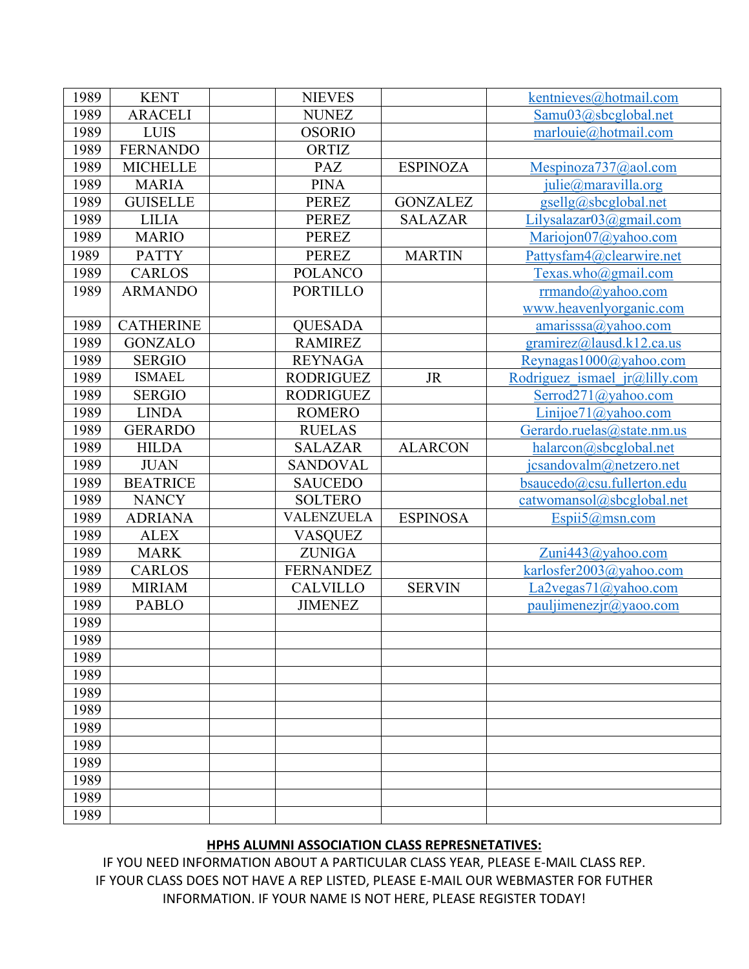| 1989 | <b>KENT</b>      | <b>NIEVES</b>    |                 | kentnieves@hotmail.com          |
|------|------------------|------------------|-----------------|---------------------------------|
| 1989 | <b>ARACELI</b>   | <b>NUNEZ</b>     |                 | Samu03@sbcglobal.net            |
| 1989 | <b>LUIS</b>      | <b>OSORIO</b>    |                 | marlouie@hotmail.com            |
| 1989 | <b>FERNANDO</b>  | ORTIZ            |                 |                                 |
| 1989 | <b>MICHELLE</b>  | PAZ              | <b>ESPINOZA</b> | Mespinoza737@aol.com            |
| 1989 | <b>MARIA</b>     | <b>PINA</b>      |                 | julie@maravilla.org             |
| 1989 | <b>GUISELLE</b>  | <b>PEREZ</b>     | <b>GONZALEZ</b> | gsellg@sbcglobal.net            |
| 1989 | <b>LILIA</b>     | <b>PEREZ</b>     | <b>SALAZAR</b>  | $Lilysalazar03(a)gmail.com$     |
| 1989 | <b>MARIO</b>     | <b>PEREZ</b>     |                 | Mariojon07@yahoo.com            |
| 1989 | <b>PATTY</b>     | <b>PEREZ</b>     | <b>MARTIN</b>   | Pattysfam4@clearwire.net        |
| 1989 | <b>CARLOS</b>    | <b>POLANCO</b>   |                 | Texas.who@gmail.com             |
| 1989 | <b>ARMANDO</b>   | <b>PORTILLO</b>  |                 | rrmando@yahoo.com               |
|      |                  |                  |                 | www.heavenlyorganic.com         |
| 1989 | <b>CATHERINE</b> | <b>QUESADA</b>   |                 | $amarisssa$ @yahoo.com          |
| 1989 | <b>GONZALO</b>   | <b>RAMIREZ</b>   |                 | gramirez@lausd.k12.ca.us        |
| 1989 | <b>SERGIO</b>    | <b>REYNAGA</b>   |                 | Reynagas1000@yahoo.com          |
| 1989 | <b>ISMAEL</b>    | <b>RODRIGUEZ</b> | <b>JR</b>       | Rodriguez ismael $ir@lilly.com$ |
| 1989 | <b>SERGIO</b>    | <b>RODRIGUEZ</b> |                 | Serrod271@yahoo.com             |
| 1989 | <b>LINDA</b>     | <b>ROMERO</b>    |                 | Linijoe71@yahoo.com             |
| 1989 | <b>GERARDO</b>   | <b>RUELAS</b>    |                 | Gerardo.ruelas@state.nm.us      |
| 1989 | <b>HILDA</b>     | <b>SALAZAR</b>   | <b>ALARCON</b>  | halarcon@sbcglobal.net          |
| 1989 | <b>JUAN</b>      | <b>SANDOVAL</b>  |                 | jcsandovalm@netzero.net         |
| 1989 | <b>BEATRICE</b>  | <b>SAUCEDO</b>   |                 | bsaucedo@csu.fullerton.edu      |
| 1989 | <b>NANCY</b>     | <b>SOLTERO</b>   |                 | catwomansol@sbcglobal.net       |
| 1989 | <b>ADRIANA</b>   | VALENZUELA       | <b>ESPINOSA</b> | Espii5@msn.com                  |
| 1989 | <b>ALEX</b>      | <b>VASQUEZ</b>   |                 |                                 |
| 1989 | <b>MARK</b>      | <b>ZUNIGA</b>    |                 | Zuni443@yahoo.com               |
| 1989 | <b>CARLOS</b>    | <b>FERNANDEZ</b> |                 | karlosfer2003@yahoo.com         |
| 1989 | <b>MIRIAM</b>    | <b>CALVILLO</b>  | <b>SERVIN</b>   | La2vegas71@yahoo.com            |
| 1989 | <b>PABLO</b>     | <b>JIMENEZ</b>   |                 | pauljimenezir@yaoo.com          |
| 1989 |                  |                  |                 |                                 |
| 1989 |                  |                  |                 |                                 |
| 1989 |                  |                  |                 |                                 |
| 1989 |                  |                  |                 |                                 |
| 1989 |                  |                  |                 |                                 |
| 1989 |                  |                  |                 |                                 |
| 1989 |                  |                  |                 |                                 |
| 1989 |                  |                  |                 |                                 |
| 1989 |                  |                  |                 |                                 |
| 1989 |                  |                  |                 |                                 |
| 1989 |                  |                  |                 |                                 |
| 1989 |                  |                  |                 |                                 |

## **HPHS ALUMNI ASSOCIATION CLASS REPRESNETATIVES:**

IF YOU NEED INFORMATION ABOUT A PARTICULAR CLASS YEAR, PLEASE E-MAIL CLASS REP. IF YOUR CLASS DOES NOT HAVE A REP LISTED, PLEASE E-MAIL OUR WEBMASTER FOR FUTHER INFORMATION. IF YOUR NAME IS NOT HERE, PLEASE REGISTER TODAY!